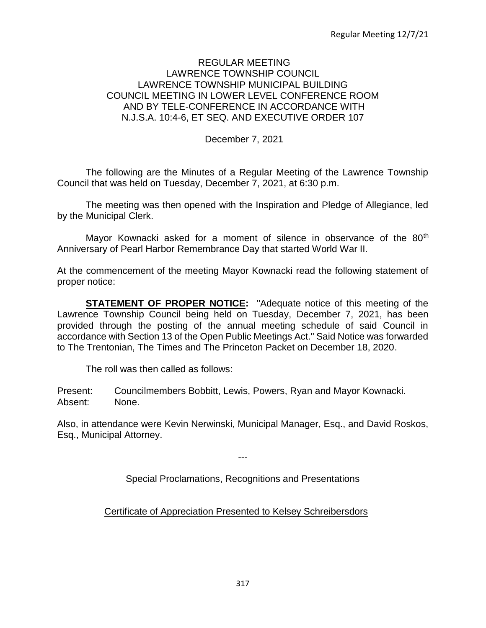## REGULAR MEETING LAWRENCE TOWNSHIP COUNCIL LAWRENCE TOWNSHIP MUNICIPAL BUILDING COUNCIL MEETING IN LOWER LEVEL CONFERENCE ROOM AND BY TELE-CONFERENCE IN ACCORDANCE WITH N.J.S.A. 10:4-6, ET SEQ. AND EXECUTIVE ORDER 107

December 7, 2021

The following are the Minutes of a Regular Meeting of the Lawrence Township Council that was held on Tuesday, December 7, 2021, at 6:30 p.m.

The meeting was then opened with the Inspiration and Pledge of Allegiance, led by the Municipal Clerk.

Mayor Kownacki asked for a moment of silence in observance of the 80<sup>th</sup> Anniversary of Pearl Harbor Remembrance Day that started World War II.

At the commencement of the meeting Mayor Kownacki read the following statement of proper notice:

**STATEMENT OF PROPER NOTICE:** "Adequate notice of this meeting of the Lawrence Township Council being held on Tuesday, December 7, 2021, has been provided through the posting of the annual meeting schedule of said Council in accordance with Section 13 of the Open Public Meetings Act." Said Notice was forwarded to The Trentonian, The Times and The Princeton Packet on December 18, 2020.

The roll was then called as follows:

Present: Councilmembers Bobbitt, Lewis, Powers, Ryan and Mayor Kownacki. Absent: None.

Also, in attendance were Kevin Nerwinski, Municipal Manager, Esq., and David Roskos, Esq., Municipal Attorney.

Special Proclamations, Recognitions and Presentations

---

Certificate of Appreciation Presented to Kelsey Schreibersdors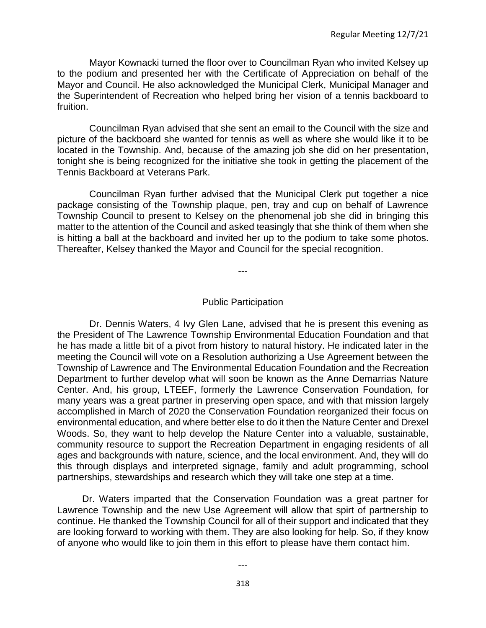Mayor Kownacki turned the floor over to Councilman Ryan who invited Kelsey up to the podium and presented her with the Certificate of Appreciation on behalf of the Mayor and Council. He also acknowledged the Municipal Clerk, Municipal Manager and the Superintendent of Recreation who helped bring her vision of a tennis backboard to fruition.

Councilman Ryan advised that she sent an email to the Council with the size and picture of the backboard she wanted for tennis as well as where she would like it to be located in the Township. And, because of the amazing job she did on her presentation, tonight she is being recognized for the initiative she took in getting the placement of the Tennis Backboard at Veterans Park.

Councilman Ryan further advised that the Municipal Clerk put together a nice package consisting of the Township plaque, pen, tray and cup on behalf of Lawrence Township Council to present to Kelsey on the phenomenal job she did in bringing this matter to the attention of the Council and asked teasingly that she think of them when she is hitting a ball at the backboard and invited her up to the podium to take some photos. Thereafter, Kelsey thanked the Mayor and Council for the special recognition.

---

#### Public Participation

Dr. Dennis Waters, 4 Ivy Glen Lane, advised that he is present this evening as the President of The Lawrence Township Environmental Education Foundation and that he has made a little bit of a pivot from history to natural history. He indicated later in the meeting the Council will vote on a Resolution authorizing a Use Agreement between the Township of Lawrence and The Environmental Education Foundation and the Recreation Department to further develop what will soon be known as the Anne Demarrias Nature Center. And, his group, LTEEF, formerly the Lawrence Conservation Foundation, for many years was a great partner in preserving open space, and with that mission largely accomplished in March of 2020 the Conservation Foundation reorganized their focus on environmental education, and where better else to do it then the Nature Center and Drexel Woods. So, they want to help develop the Nature Center into a valuable, sustainable, community resource to support the Recreation Department in engaging residents of all ages and backgrounds with nature, science, and the local environment. And, they will do this through displays and interpreted signage, family and adult programming, school partnerships, stewardships and research which they will take one step at a time.

Dr. Waters imparted that the Conservation Foundation was a great partner for Lawrence Township and the new Use Agreement will allow that spirt of partnership to continue. He thanked the Township Council for all of their support and indicated that they are looking forward to working with them. They are also looking for help. So, if they know of anyone who would like to join them in this effort to please have them contact him.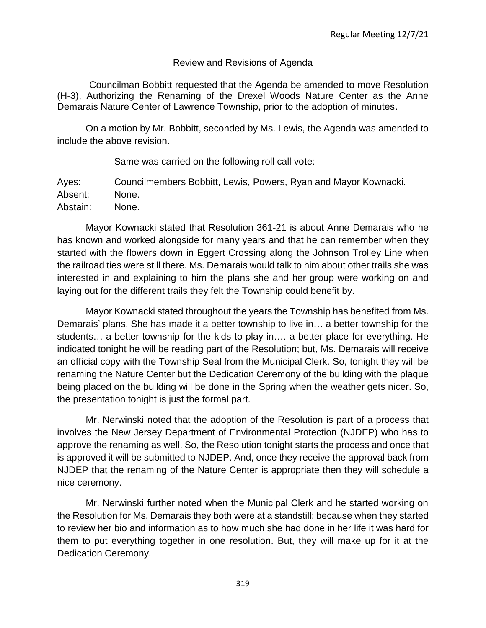## Review and Revisions of Agenda

Councilman Bobbitt requested that the Agenda be amended to move Resolution (H-3), Authorizing the Renaming of the Drexel Woods Nature Center as the Anne Demarais Nature Center of Lawrence Township, prior to the adoption of minutes.

On a motion by Mr. Bobbitt, seconded by Ms. Lewis, the Agenda was amended to include the above revision.

Same was carried on the following roll call vote:

Ayes: Councilmembers Bobbitt, Lewis, Powers, Ryan and Mayor Kownacki. Absent: None. Abstain: None.

Mayor Kownacki stated that Resolution 361-21 is about Anne Demarais who he has known and worked alongside for many years and that he can remember when they started with the flowers down in Eggert Crossing along the Johnson Trolley Line when the railroad ties were still there. Ms. Demarais would talk to him about other trails she was interested in and explaining to him the plans she and her group were working on and laying out for the different trails they felt the Township could benefit by.

Mayor Kownacki stated throughout the years the Township has benefited from Ms. Demarais' plans. She has made it a better township to live in… a better township for the students… a better township for the kids to play in…. a better place for everything. He indicated tonight he will be reading part of the Resolution; but, Ms. Demarais will receive an official copy with the Township Seal from the Municipal Clerk. So, tonight they will be renaming the Nature Center but the Dedication Ceremony of the building with the plaque being placed on the building will be done in the Spring when the weather gets nicer. So, the presentation tonight is just the formal part.

Mr. Nerwinski noted that the adoption of the Resolution is part of a process that involves the New Jersey Department of Environmental Protection (NJDEP) who has to approve the renaming as well. So, the Resolution tonight starts the process and once that is approved it will be submitted to NJDEP. And, once they receive the approval back from NJDEP that the renaming of the Nature Center is appropriate then they will schedule a nice ceremony.

Mr. Nerwinski further noted when the Municipal Clerk and he started working on the Resolution for Ms. Demarais they both were at a standstill; because when they started to review her bio and information as to how much she had done in her life it was hard for them to put everything together in one resolution. But, they will make up for it at the Dedication Ceremony.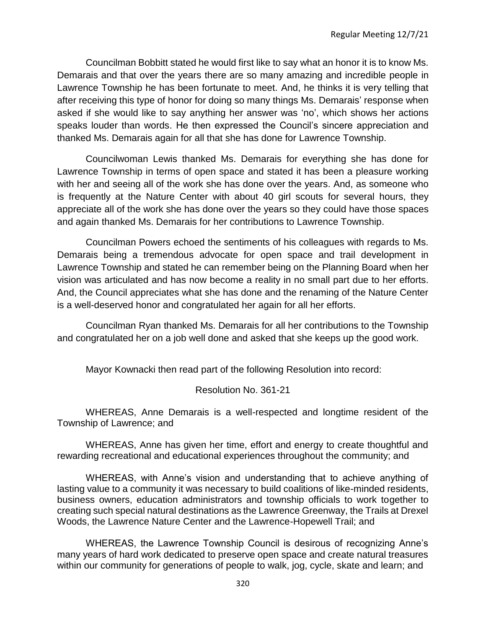Councilman Bobbitt stated he would first like to say what an honor it is to know Ms. Demarais and that over the years there are so many amazing and incredible people in Lawrence Township he has been fortunate to meet. And, he thinks it is very telling that after receiving this type of honor for doing so many things Ms. Demarais' response when asked if she would like to say anything her answer was 'no', which shows her actions speaks louder than words. He then expressed the Council's sincere appreciation and thanked Ms. Demarais again for all that she has done for Lawrence Township.

Councilwoman Lewis thanked Ms. Demarais for everything she has done for Lawrence Township in terms of open space and stated it has been a pleasure working with her and seeing all of the work she has done over the years. And, as someone who is frequently at the Nature Center with about 40 girl scouts for several hours, they appreciate all of the work she has done over the years so they could have those spaces and again thanked Ms. Demarais for her contributions to Lawrence Township.

Councilman Powers echoed the sentiments of his colleagues with regards to Ms. Demarais being a tremendous advocate for open space and trail development in Lawrence Township and stated he can remember being on the Planning Board when her vision was articulated and has now become a reality in no small part due to her efforts. And, the Council appreciates what she has done and the renaming of the Nature Center is a well-deserved honor and congratulated her again for all her efforts.

Councilman Ryan thanked Ms. Demarais for all her contributions to the Township and congratulated her on a job well done and asked that she keeps up the good work.

Mayor Kownacki then read part of the following Resolution into record:

## Resolution No. 361-21

WHEREAS, Anne Demarais is a well-respected and longtime resident of the Township of Lawrence; and

WHEREAS, Anne has given her time, effort and energy to create thoughtful and rewarding recreational and educational experiences throughout the community; and

WHEREAS, with Anne's vision and understanding that to achieve anything of lasting value to a community it was necessary to build coalitions of like-minded residents, business owners, education administrators and township officials to work together to creating such special natural destinations as the Lawrence Greenway, the Trails at Drexel Woods, the Lawrence Nature Center and the Lawrence-Hopewell Trail; and

WHEREAS, the Lawrence Township Council is desirous of recognizing Anne's many years of hard work dedicated to preserve open space and create natural treasures within our community for generations of people to walk, jog, cycle, skate and learn; and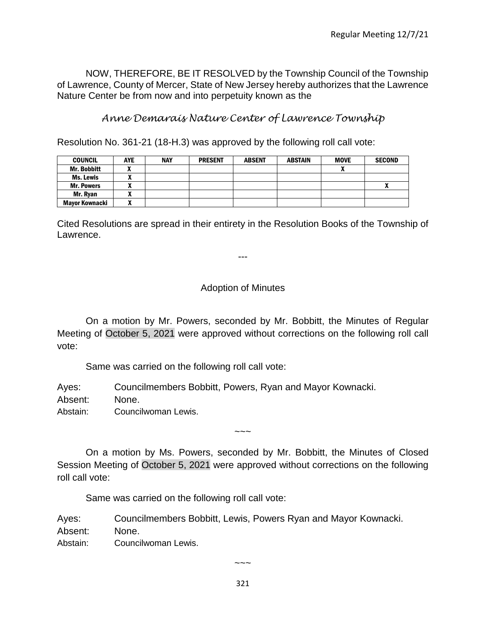NOW, THEREFORE, BE IT RESOLVED by the Township Council of the Township of Lawrence, County of Mercer, State of New Jersey hereby authorizes that the Lawrence Nature Center be from now and into perpetuity known as the

# *Anne Demarais Nature Center of Lawrence Township*

Resolution No. 361-21 (18-H.3) was approved by the following roll call vote:

| <b>COUNCIL</b>     | <b>AYE</b> | <b>NAY</b> | <b>PRESENT</b> | <b>ABSENT</b> | <b>ABSTAIN</b> | <b>MOVE</b> | <b>SECOND</b> |
|--------------------|------------|------------|----------------|---------------|----------------|-------------|---------------|
| <b>Mr. Bobbitt</b> |            |            |                |               |                | n           |               |
| Ms. Lewis          |            |            |                |               |                |             |               |
| <b>Mr. Powers</b>  |            |            |                |               |                |             | Δ             |
| Mr. Ryan           |            |            |                |               |                |             |               |
| Mayor Kownacki     | n          |            |                |               |                |             |               |

Cited Resolutions are spread in their entirety in the Resolution Books of the Township of Lawrence.

---

# Adoption of Minutes

On a motion by Mr. Powers, seconded by Mr. Bobbitt, the Minutes of Regular Meeting of October 5, 2021 were approved without corrections on the following roll call vote:

Same was carried on the following roll call vote:

Ayes: Councilmembers Bobbitt, Powers, Ryan and Mayor Kownacki. Absent: None.

Abstain: Councilwoman Lewis.

On a motion by Ms. Powers, seconded by Mr. Bobbitt, the Minutes of Closed Session Meeting of October 5, 2021 were approved without corrections on the following roll call vote:

~~~

Same was carried on the following roll call vote:

Ayes: Councilmembers Bobbitt, Lewis, Powers Ryan and Mayor Kownacki.

Absent: None.

Abstain: Councilwoman Lewis.

 $\sim\sim\sim$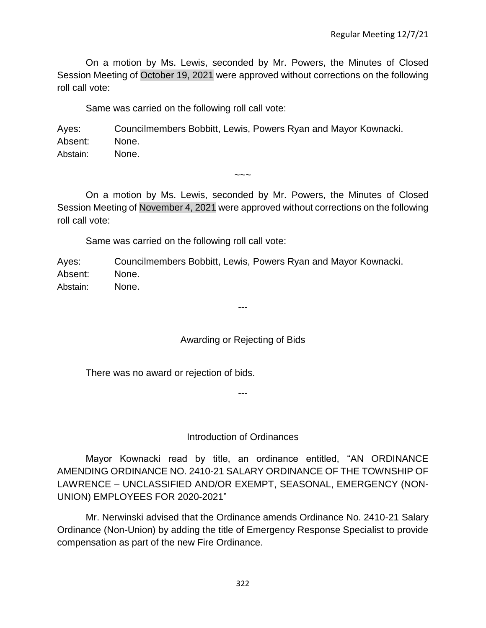On a motion by Ms. Lewis, seconded by Mr. Powers, the Minutes of Closed Session Meeting of October 19, 2021 were approved without corrections on the following roll call vote:

Same was carried on the following roll call vote:

Ayes: Councilmembers Bobbitt, Lewis, Powers Ryan and Mayor Kownacki. Absent: None. Abstain: None.

On a motion by Ms. Lewis, seconded by Mr. Powers, the Minutes of Closed Session Meeting of November 4, 2021 were approved without corrections on the following roll call vote:

 $\sim\sim\sim$ 

Same was carried on the following roll call vote:

Ayes: Councilmembers Bobbitt, Lewis, Powers Ryan and Mayor Kownacki. Absent: None. Abstain: None.

# Awarding or Rejecting of Bids

---

There was no award or rejection of bids.

Introduction of Ordinances

---

Mayor Kownacki read by title, an ordinance entitled, "AN ORDINANCE AMENDING ORDINANCE NO. 2410-21 SALARY ORDINANCE OF THE TOWNSHIP OF LAWRENCE – UNCLASSIFIED AND/OR EXEMPT, SEASONAL, EMERGENCY (NON-UNION) EMPLOYEES FOR 2020-2021"

Mr. Nerwinski advised that the Ordinance amends Ordinance No. 2410-21 Salary Ordinance (Non-Union) by adding the title of Emergency Response Specialist to provide compensation as part of the new Fire Ordinance.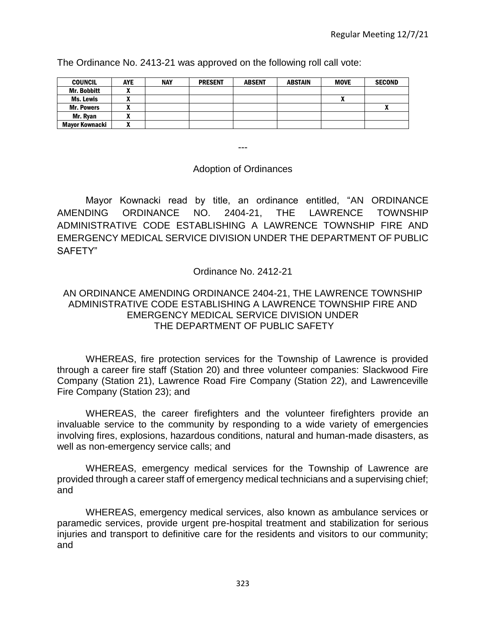The Ordinance No. 2413-21 was approved on the following roll call vote:

| <b>COUNCIL</b>     | <b>AYE</b> | <b>NAY</b> | <b>PRESENT</b> | <b>ABSENT</b> | <b>ABSTAIN</b> | <b>MOVE</b> | <b>SECOND</b> |
|--------------------|------------|------------|----------------|---------------|----------------|-------------|---------------|
| <b>Mr. Bobbitt</b> |            |            |                |               |                |             |               |
| Ms. Lewis          |            |            |                |               |                | ~           |               |
| <b>Mr. Powers</b>  |            |            |                |               |                |             | $\mathbf{v}$  |
| Mr. Ryan           |            |            |                |               |                |             |               |
| Mayor Kownacki     |            |            |                |               |                |             |               |

---

## Adoption of Ordinances

Mayor Kownacki read by title, an ordinance entitled, "AN ORDINANCE AMENDING ORDINANCE NO. 2404-21, THE LAWRENCE TOWNSHIP ADMINISTRATIVE CODE ESTABLISHING A LAWRENCE TOWNSHIP FIRE AND EMERGENCY MEDICAL SERVICE DIVISION UNDER THE DEPARTMENT OF PUBLIC SAFETY"

## Ordinance No. 2412-21

# AN ORDINANCE AMENDING ORDINANCE 2404-21, THE LAWRENCE TOWNSHIP ADMINISTRATIVE CODE ESTABLISHING A LAWRENCE TOWNSHIP FIRE AND EMERGENCY MEDICAL SERVICE DIVISION UNDER THE DEPARTMENT OF PUBLIC SAFETY

WHEREAS, fire protection services for the Township of Lawrence is provided through a career fire staff (Station 20) and three volunteer companies: Slackwood Fire Company (Station 21), Lawrence Road Fire Company (Station 22), and Lawrenceville Fire Company (Station 23); and

WHEREAS, the career firefighters and the volunteer firefighters provide an invaluable service to the community by responding to a wide variety of emergencies involving fires, explosions, hazardous conditions, natural and human-made disasters, as well as non-emergency service calls; and

WHEREAS, emergency medical services for the Township of Lawrence are provided through a career staff of emergency medical technicians and a supervising chief; and

WHEREAS, emergency medical services, also known as ambulance services or paramedic services, provide urgent pre-hospital treatment and stabilization for serious injuries and transport to definitive care for the residents and visitors to our community; and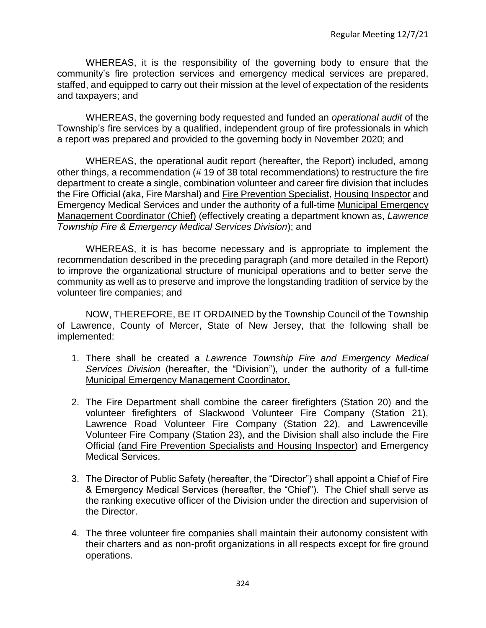WHEREAS, it is the responsibility of the governing body to ensure that the community's fire protection services and emergency medical services are prepared, staffed, and equipped to carry out their mission at the level of expectation of the residents and taxpayers; and

WHEREAS, the governing body requested and funded an *operational audit* of the Township's fire services by a qualified, independent group of fire professionals in which a report was prepared and provided to the governing body in November 2020; and

WHEREAS, the operational audit report (hereafter, the Report) included, among other things, a recommendation (# 19 of 38 total recommendations) to restructure the fire department to create a single, combination volunteer and career fire division that includes the Fire Official (aka, Fire Marshal) and Fire Prevention Specialist, Housing Inspector and Emergency Medical Services and under the authority of a full-time Municipal Emergency Management Coordinator (Chief) (effectively creating a department known as, *Lawrence Township Fire & Emergency Medical Services Division*); and

WHEREAS, it is has become necessary and is appropriate to implement the recommendation described in the preceding paragraph (and more detailed in the Report) to improve the organizational structure of municipal operations and to better serve the community as well as to preserve and improve the longstanding tradition of service by the volunteer fire companies; and

NOW, THEREFORE, BE IT ORDAINED by the Township Council of the Township of Lawrence, County of Mercer, State of New Jersey, that the following shall be implemented:

- 1. There shall be created a *Lawrence Township Fire and Emergency Medical Services Division* (hereafter, the "Division"), under the authority of a full-time Municipal Emergency Management Coordinator.
- 2. The Fire Department shall combine the career firefighters (Station 20) and the volunteer firefighters of Slackwood Volunteer Fire Company (Station 21), Lawrence Road Volunteer Fire Company (Station 22), and Lawrenceville Volunteer Fire Company (Station 23), and the Division shall also include the Fire Official (and Fire Prevention Specialists and Housing Inspector) and Emergency Medical Services.
- 3. The Director of Public Safety (hereafter, the "Director") shall appoint a Chief of Fire & Emergency Medical Services (hereafter, the "Chief"). The Chief shall serve as the ranking executive officer of the Division under the direction and supervision of the Director.
- 4. The three volunteer fire companies shall maintain their autonomy consistent with their charters and as non-profit organizations in all respects except for fire ground operations.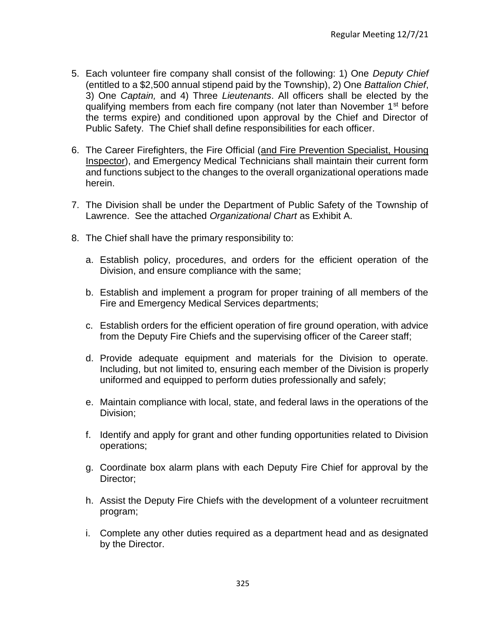- 5. Each volunteer fire company shall consist of the following: 1) One *Deputy Chief*  (entitled to a \$2,500 annual stipend paid by the Township), 2) One *Battalion Chief*, 3) One *Captain,* and 4) Three *Lieutenants*. All officers shall be elected by the qualifying members from each fire company (not later than November 1<sup>st</sup> before the terms expire) and conditioned upon approval by the Chief and Director of Public Safety. The Chief shall define responsibilities for each officer.
- 6. The Career Firefighters, the Fire Official (and Fire Prevention Specialist, Housing Inspector), and Emergency Medical Technicians shall maintain their current form and functions subject to the changes to the overall organizational operations made herein.
- 7. The Division shall be under the Department of Public Safety of the Township of Lawrence. See the attached *Organizational Chart* as Exhibit A.
- 8. The Chief shall have the primary responsibility to:
	- a. Establish policy, procedures, and orders for the efficient operation of the Division, and ensure compliance with the same;
	- b. Establish and implement a program for proper training of all members of the Fire and Emergency Medical Services departments;
	- c. Establish orders for the efficient operation of fire ground operation, with advice from the Deputy Fire Chiefs and the supervising officer of the Career staff;
	- d. Provide adequate equipment and materials for the Division to operate. Including, but not limited to, ensuring each member of the Division is properly uniformed and equipped to perform duties professionally and safely;
	- e. Maintain compliance with local, state, and federal laws in the operations of the Division;
	- f. Identify and apply for grant and other funding opportunities related to Division operations;
	- g. Coordinate box alarm plans with each Deputy Fire Chief for approval by the Director;
	- h. Assist the Deputy Fire Chiefs with the development of a volunteer recruitment program;
	- i. Complete any other duties required as a department head and as designated by the Director.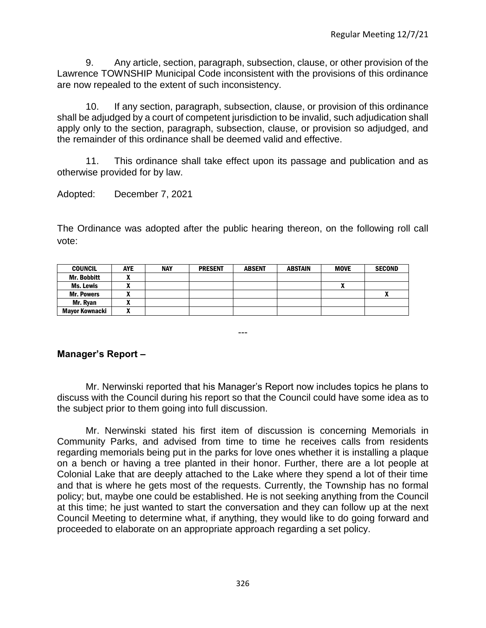9. Any article, section, paragraph, subsection, clause, or other provision of the Lawrence TOWNSHIP Municipal Code inconsistent with the provisions of this ordinance are now repealed to the extent of such inconsistency.

10. If any section, paragraph, subsection, clause, or provision of this ordinance shall be adjudged by a court of competent jurisdiction to be invalid, such adjudication shall apply only to the section, paragraph, subsection, clause, or provision so adjudged, and the remainder of this ordinance shall be deemed valid and effective.

11. This ordinance shall take effect upon its passage and publication and as otherwise provided for by law.

Adopted: December 7, 2021

The Ordinance was adopted after the public hearing thereon, on the following roll call vote:

| <b>COUNCIL</b>     | <b>AYE</b> | <b>NAY</b> | <b>PRESENT</b> | <b>ABSENT</b> | <b>ABSTAIN</b> | <b>MOVE</b> | <b>SECOND</b> |
|--------------------|------------|------------|----------------|---------------|----------------|-------------|---------------|
| <b>Mr. Bobbitt</b> |            |            |                |               |                |             |               |
| Ms. Lewis          |            |            |                |               |                | Λ           |               |
| <b>Mr. Powers</b>  |            |            |                |               |                |             |               |
| Mr. Rvan           |            |            |                |               |                |             |               |
| Mayor Kownacki     |            |            |                |               |                |             |               |

# **Manager's Report –**

Mr. Nerwinski reported that his Manager's Report now includes topics he plans to discuss with the Council during his report so that the Council could have some idea as to the subject prior to them going into full discussion.

---

Mr. Nerwinski stated his first item of discussion is concerning Memorials in Community Parks, and advised from time to time he receives calls from residents regarding memorials being put in the parks for love ones whether it is installing a plaque on a bench or having a tree planted in their honor. Further, there are a lot people at Colonial Lake that are deeply attached to the Lake where they spend a lot of their time and that is where he gets most of the requests. Currently, the Township has no formal policy; but, maybe one could be established. He is not seeking anything from the Council at this time; he just wanted to start the conversation and they can follow up at the next Council Meeting to determine what, if anything, they would like to do going forward and proceeded to elaborate on an appropriate approach regarding a set policy.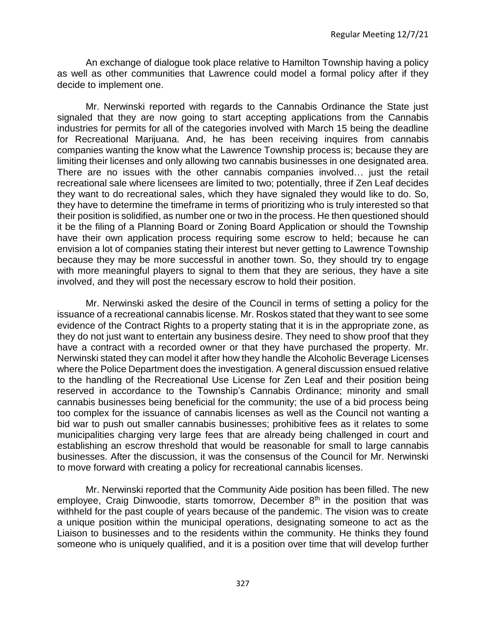An exchange of dialogue took place relative to Hamilton Township having a policy as well as other communities that Lawrence could model a formal policy after if they decide to implement one.

Mr. Nerwinski reported with regards to the Cannabis Ordinance the State just signaled that they are now going to start accepting applications from the Cannabis industries for permits for all of the categories involved with March 15 being the deadline for Recreational Marijuana. And, he has been receiving inquires from cannabis companies wanting the know what the Lawrence Township process is; because they are limiting their licenses and only allowing two cannabis businesses in one designated area. There are no issues with the other cannabis companies involved… just the retail recreational sale where licensees are limited to two; potentially, three if Zen Leaf decides they want to do recreational sales, which they have signaled they would like to do. So, they have to determine the timeframe in terms of prioritizing who is truly interested so that their position is solidified, as number one or two in the process. He then questioned should it be the filing of a Planning Board or Zoning Board Application or should the Township have their own application process requiring some escrow to held; because he can envision a lot of companies stating their interest but never getting to Lawrence Township because they may be more successful in another town. So, they should try to engage with more meaningful players to signal to them that they are serious, they have a site involved, and they will post the necessary escrow to hold their position.

Mr. Nerwinski asked the desire of the Council in terms of setting a policy for the issuance of a recreational cannabis license. Mr. Roskos stated that they want to see some evidence of the Contract Rights to a property stating that it is in the appropriate zone, as they do not just want to entertain any business desire. They need to show proof that they have a contract with a recorded owner or that they have purchased the property. Mr. Nerwinski stated they can model it after how they handle the Alcoholic Beverage Licenses where the Police Department does the investigation. A general discussion ensued relative to the handling of the Recreational Use License for Zen Leaf and their position being reserved in accordance to the Township's Cannabis Ordinance; minority and small cannabis businesses being beneficial for the community; the use of a bid process being too complex for the issuance of cannabis licenses as well as the Council not wanting a bid war to push out smaller cannabis businesses; prohibitive fees as it relates to some municipalities charging very large fees that are already being challenged in court and establishing an escrow threshold that would be reasonable for small to large cannabis businesses. After the discussion, it was the consensus of the Council for Mr. Nerwinski to move forward with creating a policy for recreational cannabis licenses.

Mr. Nerwinski reported that the Community Aide position has been filled. The new employee, Craig Dinwoodie, starts tomorrow, December  $8<sup>th</sup>$  in the position that was withheld for the past couple of years because of the pandemic. The vision was to create a unique position within the municipal operations, designating someone to act as the Liaison to businesses and to the residents within the community. He thinks they found someone who is uniquely qualified, and it is a position over time that will develop further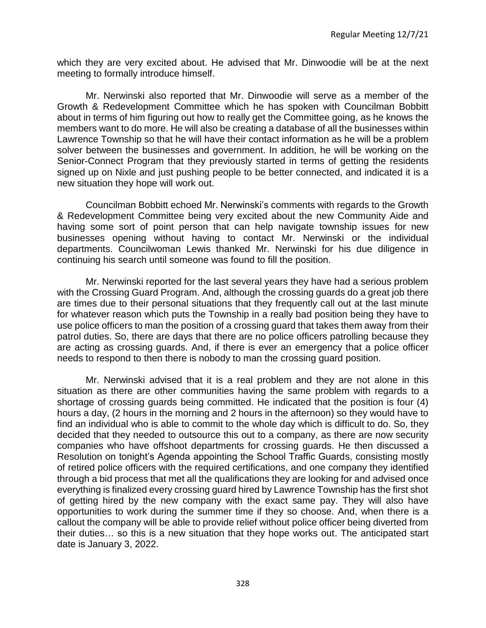which they are very excited about. He advised that Mr. Dinwoodie will be at the next meeting to formally introduce himself.

Mr. Nerwinski also reported that Mr. Dinwoodie will serve as a member of the Growth & Redevelopment Committee which he has spoken with Councilman Bobbitt about in terms of him figuring out how to really get the Committee going, as he knows the members want to do more. He will also be creating a database of all the businesses within Lawrence Township so that he will have their contact information as he will be a problem solver between the businesses and government. In addition, he will be working on the Senior-Connect Program that they previously started in terms of getting the residents signed up on Nixle and just pushing people to be better connected, and indicated it is a new situation they hope will work out.

Councilman Bobbitt echoed Mr. Nerwinski's comments with regards to the Growth & Redevelopment Committee being very excited about the new Community Aide and having some sort of point person that can help navigate township issues for new businesses opening without having to contact Mr. Nerwinski or the individual departments. Councilwoman Lewis thanked Mr. Nerwinski for his due diligence in continuing his search until someone was found to fill the position.

Mr. Nerwinski reported for the last several years they have had a serious problem with the Crossing Guard Program. And, although the crossing guards do a great job there are times due to their personal situations that they frequently call out at the last minute for whatever reason which puts the Township in a really bad position being they have to use police officers to man the position of a crossing guard that takes them away from their patrol duties. So, there are days that there are no police officers patrolling because they are acting as crossing guards. And, if there is ever an emergency that a police officer needs to respond to then there is nobody to man the crossing guard position.

Mr. Nerwinski advised that it is a real problem and they are not alone in this situation as there are other communities having the same problem with regards to a shortage of crossing guards being committed. He indicated that the position is four (4) hours a day, (2 hours in the morning and 2 hours in the afternoon) so they would have to find an individual who is able to commit to the whole day which is difficult to do. So, they decided that they needed to outsource this out to a company, as there are now security companies who have offshoot departments for crossing guards. He then discussed a Resolution on tonight's Agenda appointing the School Traffic Guards, consisting mostly of retired police officers with the required certifications, and one company they identified through a bid process that met all the qualifications they are looking for and advised once everything is finalized every crossing guard hired by Lawrence Township has the first shot of getting hired by the new company with the exact same pay. They will also have opportunities to work during the summer time if they so choose. And, when there is a callout the company will be able to provide relief without police officer being diverted from their duties… so this is a new situation that they hope works out. The anticipated start date is January 3, 2022.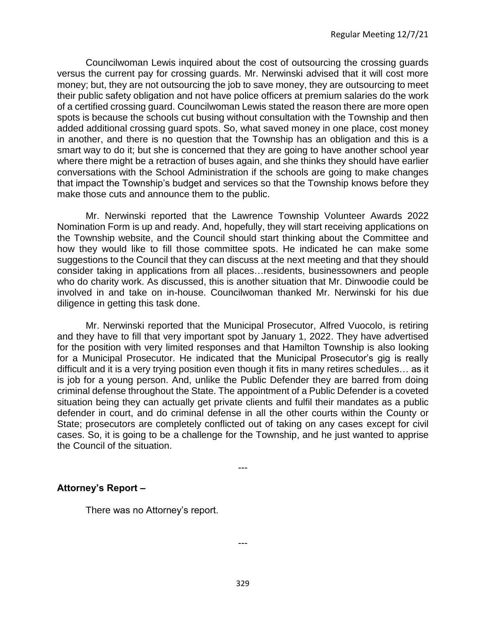Councilwoman Lewis inquired about the cost of outsourcing the crossing guards versus the current pay for crossing guards. Mr. Nerwinski advised that it will cost more money; but, they are not outsourcing the job to save money, they are outsourcing to meet their public safety obligation and not have police officers at premium salaries do the work of a certified crossing guard. Councilwoman Lewis stated the reason there are more open spots is because the schools cut busing without consultation with the Township and then added additional crossing guard spots. So, what saved money in one place, cost money in another, and there is no question that the Township has an obligation and this is a smart way to do it; but she is concerned that they are going to have another school year where there might be a retraction of buses again, and she thinks they should have earlier conversations with the School Administration if the schools are going to make changes that impact the Township's budget and services so that the Township knows before they make those cuts and announce them to the public.

Mr. Nerwinski reported that the Lawrence Township Volunteer Awards 2022 Nomination Form is up and ready. And, hopefully, they will start receiving applications on the Township website, and the Council should start thinking about the Committee and how they would like to fill those committee spots. He indicated he can make some suggestions to the Council that they can discuss at the next meeting and that they should consider taking in applications from all places…residents, businessowners and people who do charity work. As discussed, this is another situation that Mr. Dinwoodie could be involved in and take on in-house. Councilwoman thanked Mr. Nerwinski for his due diligence in getting this task done.

Mr. Nerwinski reported that the Municipal Prosecutor, Alfred Vuocolo, is retiring and they have to fill that very important spot by January 1, 2022. They have advertised for the position with very limited responses and that Hamilton Township is also looking for a Municipal Prosecutor. He indicated that the Municipal Prosecutor's gig is really difficult and it is a very trying position even though it fits in many retires schedules… as it is job for a young person. And, unlike the Public Defender they are barred from doing criminal defense throughout the State. The appointment of a Public Defender is a coveted situation being they can actually get private clients and fulfil their mandates as a public defender in court, and do criminal defense in all the other courts within the County or State; prosecutors are completely conflicted out of taking on any cases except for civil cases. So, it is going to be a challenge for the Township, and he just wanted to apprise the Council of the situation.

---

# **Attorney's Report –**

There was no Attorney's report.

---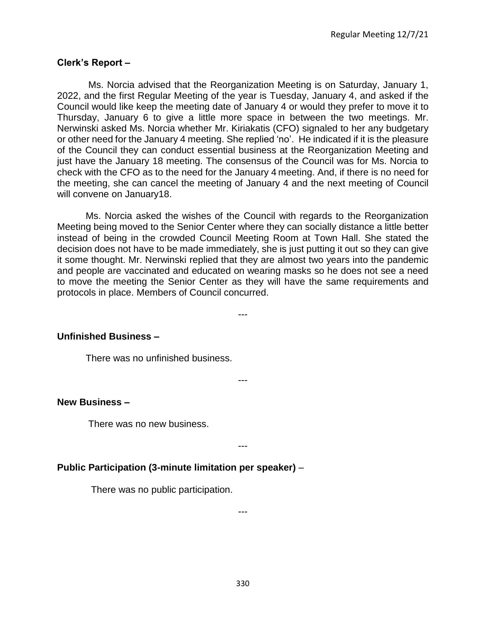# **Clerk's Report –**

Ms. Norcia advised that the Reorganization Meeting is on Saturday, January 1, 2022, and the first Regular Meeting of the year is Tuesday, January 4, and asked if the Council would like keep the meeting date of January 4 or would they prefer to move it to Thursday, January 6 to give a little more space in between the two meetings. Mr. Nerwinski asked Ms. Norcia whether Mr. Kiriakatis (CFO) signaled to her any budgetary or other need for the January 4 meeting. She replied 'no'. He indicated if it is the pleasure of the Council they can conduct essential business at the Reorganization Meeting and just have the January 18 meeting. The consensus of the Council was for Ms. Norcia to check with the CFO as to the need for the January 4 meeting. And, if there is no need for the meeting, she can cancel the meeting of January 4 and the next meeting of Council will convene on January18.

Ms. Norcia asked the wishes of the Council with regards to the Reorganization Meeting being moved to the Senior Center where they can socially distance a little better instead of being in the crowded Council Meeting Room at Town Hall. She stated the decision does not have to be made immediately, she is just putting it out so they can give it some thought. Mr. Nerwinski replied that they are almost two years into the pandemic and people are vaccinated and educated on wearing masks so he does not see a need to move the meeting the Senior Center as they will have the same requirements and protocols in place. Members of Council concurred.

---

---

## **Unfinished Business –**

There was no unfinished business.

#### **New Business –**

There was no new business.

---

# **Public Participation (3-minute limitation per speaker)** –

There was no public participation.

---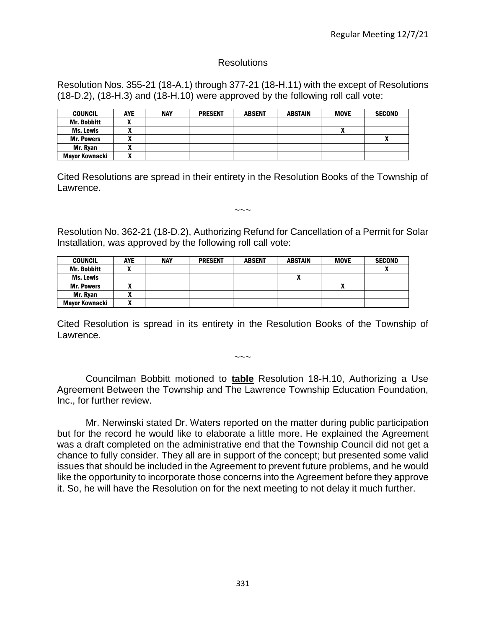## Resolutions

Resolution Nos. 355-21 (18-A.1) through 377-21 (18-H.11) with the except of Resolutions (18-D.2), (18-H.3) and (18-H.10) were approved by the following roll call vote:

| <b>COUNCIL</b>        | <b>AYE</b> | <b>NAY</b> | <b>PRESENT</b> | <b>ABSENT</b> | <b>ABSTAIN</b> | <b>MOVE</b> | <b>SECOND</b> |
|-----------------------|------------|------------|----------------|---------------|----------------|-------------|---------------|
| <b>Mr. Bobbitt</b>    |            |            |                |               |                |             |               |
| Ms. Lewis             | . .        |            |                |               |                |             |               |
| <b>Mr. Powers</b>     |            |            |                |               |                |             |               |
| Mr. Ryan              |            |            |                |               |                |             |               |
| <b>Mayor Kownacki</b> | ^          |            |                |               |                |             |               |

Cited Resolutions are spread in their entirety in the Resolution Books of the Township of Lawrence.

Resolution No. 362-21 (18-D.2), Authorizing Refund for Cancellation of a Permit for Solar Installation, was approved by the following roll call vote:

 $\sim\sim\sim$ 

| <b>COUNCIL</b>        | <b>AYE</b> | <b>NAY</b> | <b>PRESENT</b> | <b>ABSENT</b> | ABSTAIN | <b>MOVE</b> | <b>SECOND</b> |
|-----------------------|------------|------------|----------------|---------------|---------|-------------|---------------|
| Mr. Bobbitt           |            |            |                |               |         |             |               |
| Ms. Lewis             |            |            |                |               |         |             |               |
| <b>Mr. Powers</b>     |            |            |                |               |         | Λ           |               |
| Mr. Ryan              | ,,,        |            |                |               |         |             |               |
| <b>Mavor Kownacki</b> | n          |            |                |               |         |             |               |

Cited Resolution is spread in its entirety in the Resolution Books of the Township of Lawrence.

 $\sim\sim\sim$ 

Councilman Bobbitt motioned to **table** Resolution 18-H.10, Authorizing a Use Agreement Between the Township and The Lawrence Township Education Foundation, Inc., for further review.

Mr. Nerwinski stated Dr. Waters reported on the matter during public participation but for the record he would like to elaborate a little more. He explained the Agreement was a draft completed on the administrative end that the Township Council did not get a chance to fully consider. They all are in support of the concept; but presented some valid issues that should be included in the Agreement to prevent future problems, and he would like the opportunity to incorporate those concerns into the Agreement before they approve it. So, he will have the Resolution on for the next meeting to not delay it much further.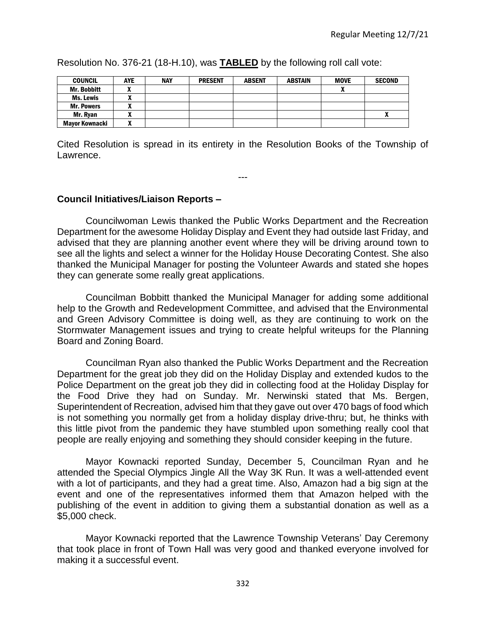COUNCIL | AYE | NAY | PRESENT | ABSENT | ABSTAIN | MOVE | SECOND Mr. Bobbitt | X | | | | | | | X Ms. Lewis | X Mr. Powers X Mr. Ryan | X | | | | | | | | | X X Mayor Kownacki X

Resolution No. 376-21 (18-H.10), was **TABLED** by the following roll call vote:

Cited Resolution is spread in its entirety in the Resolution Books of the Township of Lawrence.

---

## **Council Initiatives/Liaison Reports –**

Councilwoman Lewis thanked the Public Works Department and the Recreation Department for the awesome Holiday Display and Event they had outside last Friday, and advised that they are planning another event where they will be driving around town to see all the lights and select a winner for the Holiday House Decorating Contest. She also thanked the Municipal Manager for posting the Volunteer Awards and stated she hopes they can generate some really great applications.

Councilman Bobbitt thanked the Municipal Manager for adding some additional help to the Growth and Redevelopment Committee, and advised that the Environmental and Green Advisory Committee is doing well, as they are continuing to work on the Stormwater Management issues and trying to create helpful writeups for the Planning Board and Zoning Board.

Councilman Ryan also thanked the Public Works Department and the Recreation Department for the great job they did on the Holiday Display and extended kudos to the Police Department on the great job they did in collecting food at the Holiday Display for the Food Drive they had on Sunday. Mr. Nerwinski stated that Ms. Bergen, Superintendent of Recreation, advised him that they gave out over 470 bags of food which is not something you normally get from a holiday display drive-thru; but, he thinks with this little pivot from the pandemic they have stumbled upon something really cool that people are really enjoying and something they should consider keeping in the future.

Mayor Kownacki reported Sunday, December 5, Councilman Ryan and he attended the Special Olympics Jingle All the Way 3K Run. It was a well-attended event with a lot of participants, and they had a great time. Also, Amazon had a big sign at the event and one of the representatives informed them that Amazon helped with the publishing of the event in addition to giving them a substantial donation as well as a \$5,000 check.

Mayor Kownacki reported that the Lawrence Township Veterans' Day Ceremony that took place in front of Town Hall was very good and thanked everyone involved for making it a successful event.